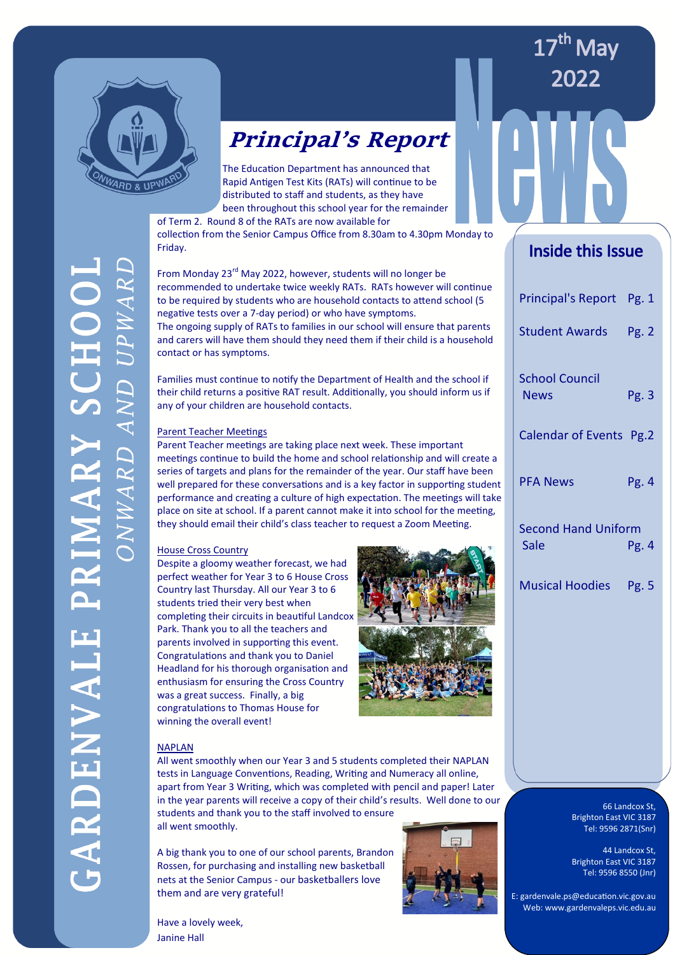

### **Principal's Report**

The Education Department has announced that Rapid Antigen Test Kits (RATs) will continue to be distributed to staff and students, as they have been throughout this school year for the remainder

of Term 2. Round 8 of the RATs are now available for

collection from the Senior Campus Office from 8.30am to 4.30pm Monday to Friday.

From Monday 23<sup>rd</sup> May 2022, however, students will no longer be recommended to undertake twice weekly RATs. RATs however will continue to be required by students who are household contacts to attend school (5 negative tests over a 7-day period) or who have symptoms.

The ongoing supply of RATs to families in our school will ensure that parents and carers will have them should they need them if their child is a household contact or has symptoms.

Families must continue to notify the Department of Health and the school if their child returns a positive RAT result. Additionally, you should inform us if any of your children are household contacts.

#### Parent Teacher Meetings

Parent Teacher meetings are taking place next week. These important meetings continue to build the home and school relationship and will create a series of targets and plans for the remainder of the year. Our staff have been well prepared for these conversations and is a key factor in supporting student performance and creating a culture of high expectation. The meetings will take place on site at school. If a parent cannot make it into school for the meeting, they should email their child's class teacher to request a Zoom Meeting.

#### House Cross Country

Despite a gloomy weather forecast, we had perfect weather for Year 3 to 6 House Cross Country last Thursday. All our Year 3 to 6 students tried their very best when completing their circuits in beautiful Landcox Park. Thank you to all the teachers and parents involved in supporting this event. Congratulations and thank you to Daniel Headland for his thorough organisation and enthusiasm for ensuring the Cross Country was a great success. Finally, a big congratulations to Thomas House for winning the overall event!



#### NAPLAN

All went smoothly when our Year 3 and 5 students completed their NAPLAN tests in Language Conventions, Reading, Writing and Numeracy all online, apart from Year 3 Writing, which was completed with pencil and paper! Later in the year parents will receive a copy of their child's results. Well done to our students and thank you to the staff involved to ensure

all went smoothly.

Have a lovely week,

Janine Hall

A big thank you to one of our school parents, Brandon Rossen, for purchasing and installing new basketball nets at the Senior Campus - our basketballers love them and are very grateful!



Inside this Issue

17<sup>th</sup> May

2022

| Principal's Report Pg. 1             |       |
|--------------------------------------|-------|
| Student Awards Pg. 2                 |       |
| <b>School Council</b><br><b>News</b> | Pg. 3 |
| Calendar of Events Pg.2              |       |
| <b>PFA News</b>                      | Pg.4  |
| <b>Second Hand Uniform</b><br>Sale   | Pg. 4 |
| <b>Musical Hoodies</b>               | Pg. 5 |

66 Landcox St, Brighton East VIC 3187 Tel: 9596 2871(Snr)

44 Landcox St, Brighton East VIC 3187 -<br>Tel: 9596 8550 (Jnr)

 E: gardenvale.ps@education.vic.gov.au Web: www.gardenvaleps.vic.edu.au

ARDENVALE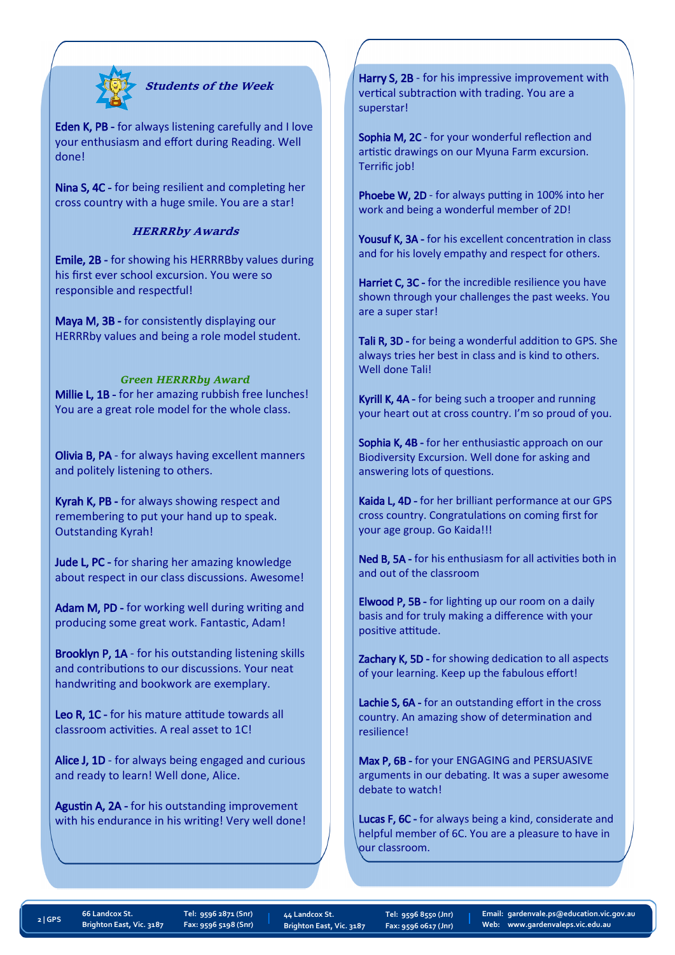

#### **Students of the Week**

Eden K, PB - for always listening carefully and I love your enthusiasm and effort during Reading. Well done!

Nina S, 4C - for being resilient and completing her cross country with a huge smile. You are a star!

#### **HERRRby Awards**

Emile, 2B - for showing his HERRRBby values during his first ever school excursion. You were so responsible and respectful!

Maya M, 3B - for consistently displaying our HERRRby values and being a role model student.

#### *Green HERRRby Award*

Millie L, 1B - for her amazing rubbish free lunches! You are a great role model for the whole class.

Olivia B, PA - for always having excellent manners and politely listening to others.

Kyrah K, PB - for always showing respect and remembering to put your hand up to speak. Outstanding Kyrah!

Jude L, PC - for sharing her amazing knowledge about respect in our class discussions. Awesome!

Adam M, PD - for working well during writing and producing some great work. Fantastic, Adam!

Brooklyn P, 1A - for his outstanding listening skills and contributions to our discussions. Your neat handwriting and bookwork are exemplary.

Leo R, 1C - for his mature attitude towards all classroom activities. A real asset to 1C!

Alice J, 1D - for always being engaged and curious and ready to learn! Well done, Alice.

Agustin A, 2A - for his outstanding improvement with his endurance in his writing! Very well done!

Harry S, 2B - for his impressive improvement with vertical subtraction with trading. You are a superstar!

Sophia M, 2C - for your wonderful reflection and artistic drawings on our Myuna Farm excursion. Terrific job!

Phoebe W, 2D - for always putting in 100% into her work and being a wonderful member of 2D!

Yousuf K, 3A - for his excellent concentration in class and for his lovely empathy and respect for others.

Harriet C, 3C - for the incredible resilience you have shown through your challenges the past weeks. You are a super star!

Tali R, 3D - for being a wonderful addition to GPS. She always tries her best in class and is kind to others. Well done Tali!

Kyrill K, 4A - for being such a trooper and running your heart out at cross country. I'm so proud of you.

Sophia K, 4B - for her enthusiastic approach on our Biodiversity Excursion. Well done for asking and answering lots of questions.

Kaida L, 4D - for her brilliant performance at our GPS cross country. Congratulations on coming first for your age group. Go Kaida!!!

Ned B, 5A - for his enthusiasm for all activities both in and out of the classroom

Elwood P, 5B - for lighting up our room on a daily basis and for truly making a difference with your positive attitude.

Zachary K, 5D - for showing dedication to all aspects of your learning. Keep up the fabulous effort!

Lachie S, 6A - for an outstanding effort in the cross country. An amazing show of determination and resilience!

Max P, 6B - for your ENGAGING and PERSUASIVE arguments in our debating. It was a super awesome debate to watch!

Lucas F, 6C - for always being a kind, considerate and helpful member of 6C. You are a pleasure to have in our classroom.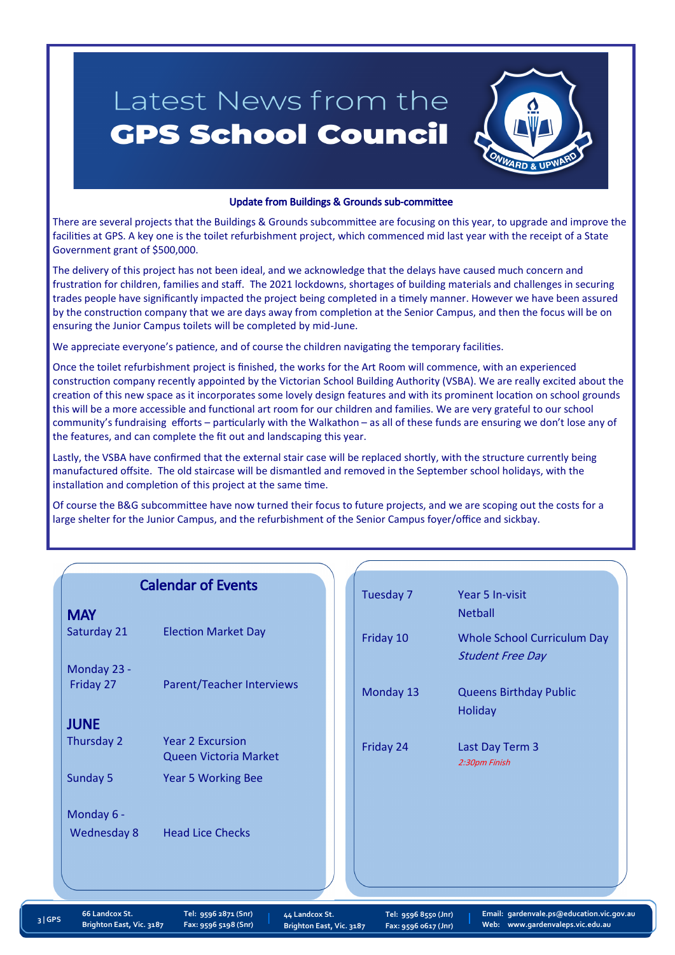## Latest News from the **GPS School Council**



#### Update from Buildings & Grounds sub-committee

There are several projects that the Buildings & Grounds subcommittee are focusing on this year, to upgrade and improve the facilities at GPS. A key one is the toilet refurbishment project, which commenced mid last year with the receipt of a State Government grant of \$500,000.

The delivery of this project has not been ideal, and we acknowledge that the delays have caused much concern and frustration for children, families and staff. The 2021 lockdowns, shortages of building materials and challenges in securing trades people have significantly impacted the project being completed in a timely manner. However we have been assured by the construction company that we are days away from completion at the Senior Campus, and then the focus will be on ensuring the Junior Campus toilets will be completed by mid-June.

We appreciate everyone's patience, and of course the children navigating the temporary facilities.

Once the toilet refurbishment project is finished, the works for the Art Room will commence, with an experienced construction company recently appointed by the Victorian School Building Authority (VSBA). We are really excited about the creation of this new space as it incorporates some lovely design features and with its prominent location on school grounds this will be a more accessible and functional art room for our children and families. We are very grateful to our school community's fundraising efforts – particularly with the Walkathon – as all of these funds are ensuring we don't lose any of the features, and can complete the fit out and landscaping this year.

Lastly, the VSBA have confirmed that the external stair case will be replaced shortly, with the structure currently being manufactured offsite. The old staircase will be dismantled and removed in the September school holidays, with the installation and completion of this project at the same time.

Of course the B&G subcommittee have now turned their focus to future projects, and we are scoping out the costs for a large shelter for the Junior Campus, and the refurbishment of the Senior Campus foyer/office and sickbay.

|                    | <b>Calendar of Events</b>                        | Tuesday 7 | Year 5 In-visit                                               |
|--------------------|--------------------------------------------------|-----------|---------------------------------------------------------------|
| <b>MAY</b>         |                                                  |           | <b>Netball</b>                                                |
| Saturday 21        | <b>Election Market Day</b>                       | Friday 10 | <b>Whole School Curriculum Day</b><br><b>Student Free Day</b> |
| Monday 23 -        |                                                  |           |                                                               |
| Friday 27          | <b>Parent/Teacher Interviews</b>                 | Monday 13 | <b>Queens Birthday Public</b><br>Holiday                      |
| <b>JUNE</b>        |                                                  |           |                                                               |
| Thursday 2         | <b>Year 2 Excursion</b><br>Queen Victoria Market | Friday 24 | Last Day Term 3<br>2:30pm Finish                              |
| Sunday 5           | <b>Year 5 Working Bee</b>                        |           |                                                               |
| Monday 6 -         |                                                  |           |                                                               |
| <b>Wednesday 8</b> | <b>Head Lice Checks</b>                          |           |                                                               |
|                    |                                                  |           |                                                               |
|                    |                                                  |           |                                                               |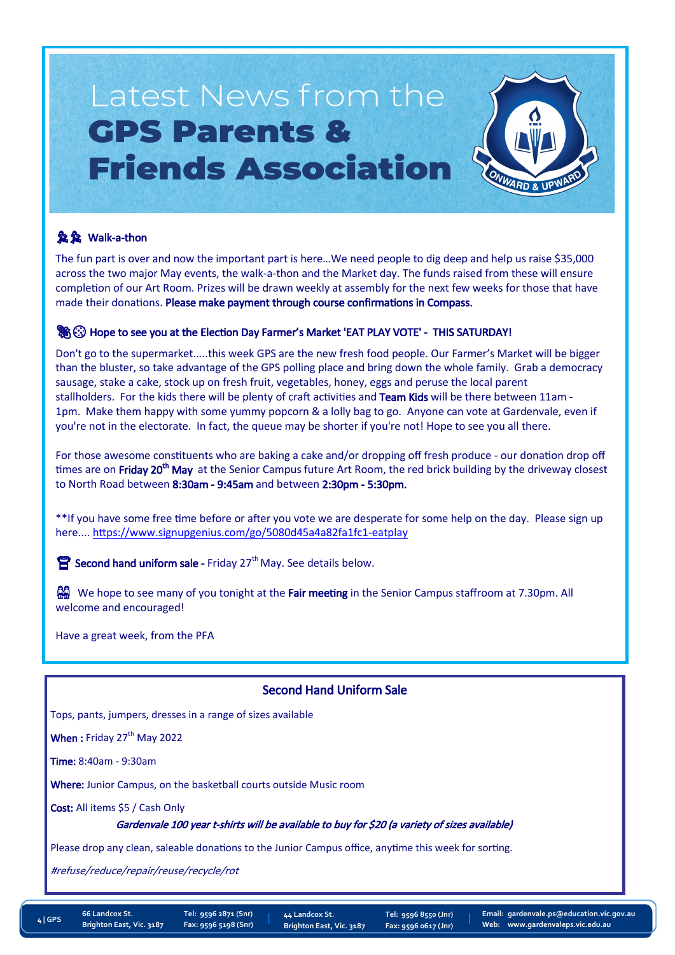## Latest News from the **GPS Parents & Friends Association**



#### **魚魚 Walk-a-thon**

The fun part is over and now the important part is here…We need people to dig deep and help us raise \$35,000 across the two major May events, the walk-a-thon and the Market day. The funds raised from these will ensure completion of our Art Room. Prizes will be drawn weekly at assembly for the next few weeks for those that have made their donations. Please make payment through course confirmations in Compass.

#### **We Go Hope to see you at the Election Day Farmer's Market 'EAT PLAY VOTE' - THIS SATURDAY!**

Don't go to the supermarket.....this week GPS are the new fresh food people. Our Farmer's Market will be bigger than the bluster, so take advantage of the GPS polling place and bring down the whole family. Grab a democracy sausage, stake a cake, stock up on fresh fruit, vegetables, honey, eggs and peruse the local parent stallholders. For the kids there will be plenty of craft activities and Team Kids will be there between 11am -1pm. Make them happy with some yummy popcorn & a lolly bag to go. Anyone can vote at Gardenvale, even if you're not in the electorate. In fact, the queue may be shorter if you're not! Hope to see you all there.

For those awesome constituents who are baking a cake and/or dropping off fresh produce - our donation drop off times are on Friday 20<sup>th</sup> May at the Senior Campus future Art Room, the red brick building by the driveway closest to North Road between 8:30am - 9:45am and between 2:30pm - 5:30pm.

\*\*If you have some free time before or after you vote we are desperate for some help on the day. Please sign up here.... [https://www.signupgenius.com/go/5080d45a4a82fa1fc1](https://www.signupgenius.com/go/5080d45a4a82fa1fc1-eatplay)-eatplay

Second hand uniform sale - Friday  $27<sup>th</sup>$  May. See details below.

We hope to see many of you tonight at the Fair meeting in the Senior Campus staffroom at 7.30pm. All welcome and encouraged!

Have a great week, from the PFA

#### Second Hand Uniform Sale

Tops, pants, jumpers, dresses in a range of sizes available

When: Friday  $27<sup>th</sup>$  May 2022

Time: 8:40am - 9:30am

Where: Junior Campus, on the basketball courts outside Music room

Cost: All items \$5 / Cash Only

Gardenvale 100 year t-shirts will be available to buy for \$20 (a variety of sizes available)

Please drop any clean, saleable donations to the Junior Campus office, anytime this week for sorting.

#refuse/reduce/repair/reuse/recycle/rot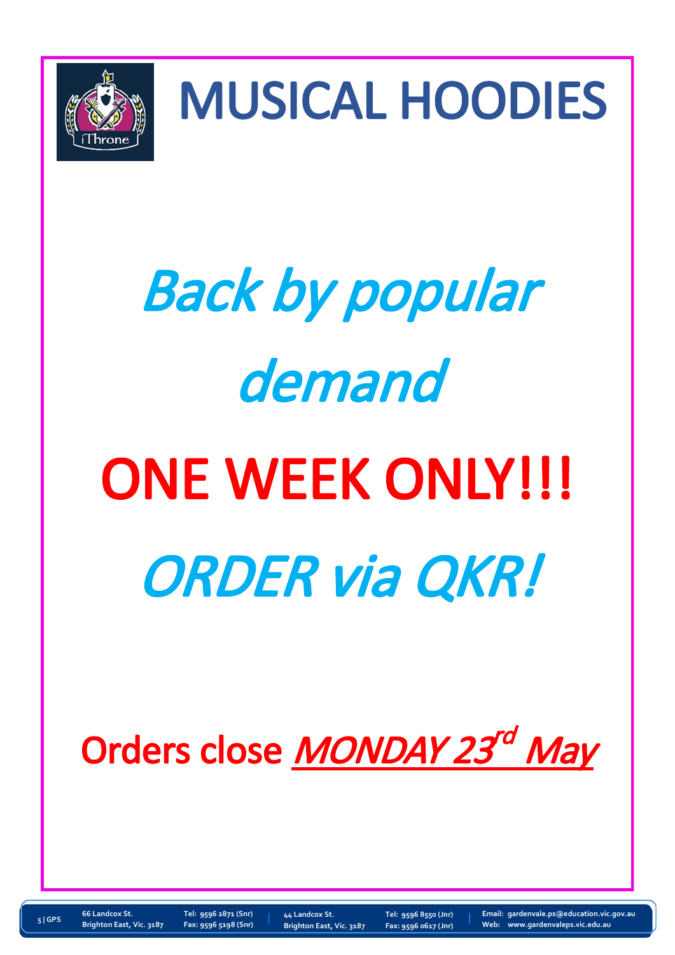

MUSICAL HOODIES

# Back by popular demand ONE WEEK ONLY!!! ORDER via QKR!

## Orders close MONDAY 23<sup>rd</sup> May

**66 Landcox St. Tel: 9596 2871 (Snr) Brighton East, Vic. 3187 Fax: 9596 5198 (Snr)**

**44 Landcox St. Tel: 9596 8550 (Jnr) Brighton East, Vic. 3187 Fax: 9596 0617 (Jnr)**

**Email: [gardenvale.ps@education.vic.gov.au](mailto:gardenvale.ps@edumail.vic.gov.au) Web: www.gardenvaleps.vic.edu.au <sup>5</sup> | GPS**